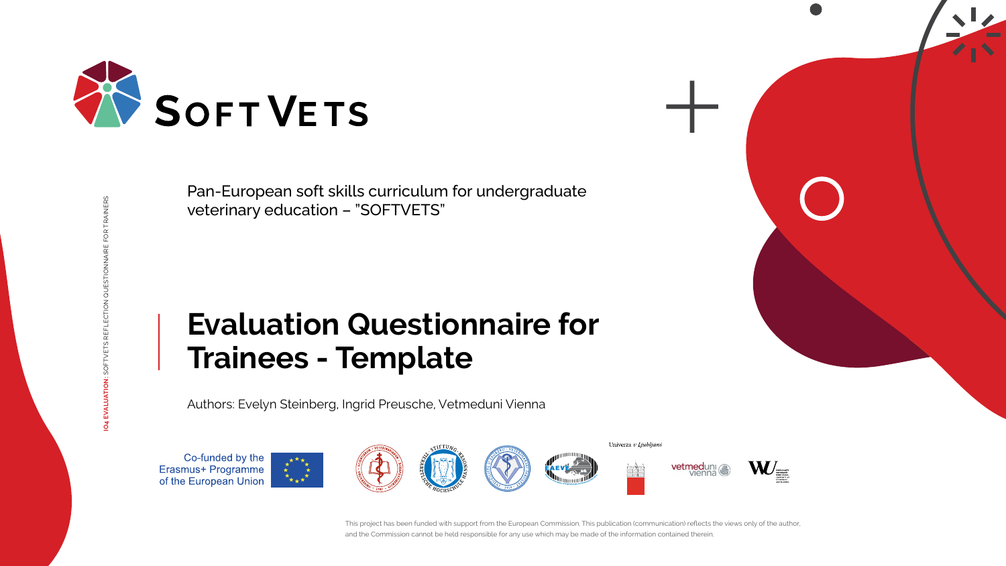RAINERS **IO4 EVALUATION:** SOFTVETS REFLECTION QUESTIONNAIRE FOR TRAINERS













# **Evaluation Questionnaire for Trainees - Template**



Pan-European soft skills curriculum for undergraduate veterinary education – "SOFTVETS"

Authors: Evelyn Steinberg, Ingrid Preusche, Vetmeduni Vienna

Co-funded by the Erasmus+ Programme<br>of the European Union



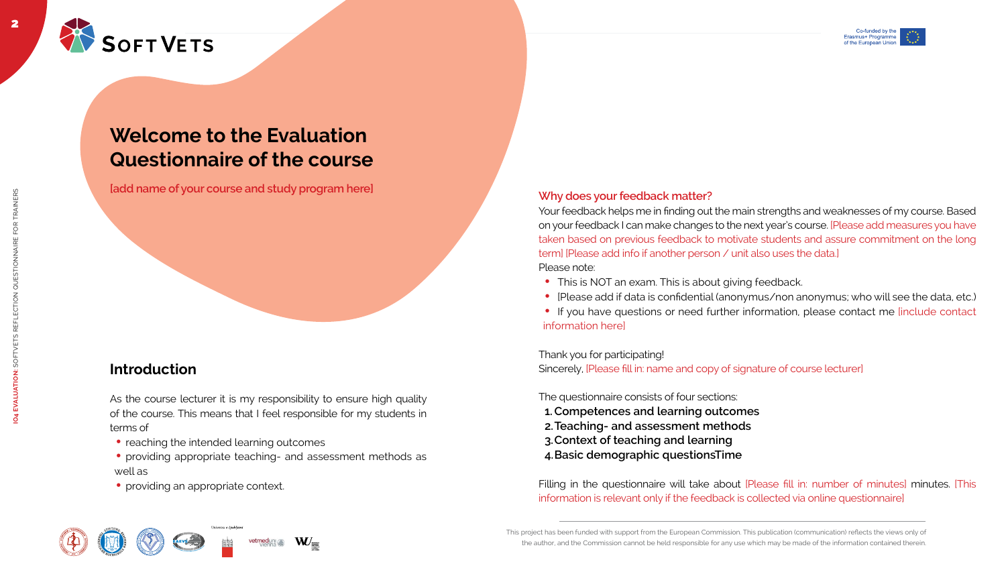





2















## **Welcome to the Evaluation Questionnaire of the course**

Indeed name of your course and study program here **Integral and the study of the study of the study program here** 

### **Introduction**

As the course lecturer it is my responsibility to ensure high quality of the course. This means that I feel responsible for my students in terms of

- reaching the intended learning outcomes
- providing appropriate teaching- and assessment methods as well as
- providing an appropriate context.
- This is NOT an exam. This is about giving feedback.
- [Please add if data is confidential (anonymus/non anonymus; who will see the data, etc.)
- If you have questions or need further information, please contact me [include contact information here]

Filling in the questionnaire will take about [Please fill in: number of minutes] minutes. [This information is relevant only if the feedback is collected via online questionnaire]

Your feedback helps me in finding out the main strengths and weaknesses of my course. Based on your feedback I can make changes to the next year's course. [Please add measures you have taken based on previous feedback to motivate students and assure commitment on the long term] [Please add info if another person / unit also uses the data.] Please note:

### Thank you for participating!

Sincerely, [Please fill in: name and copy of signature of course lecturer]

The questionnaire consists of four sections:

- **1.Competences and learning outcomes**
- **2.Teaching- and assessment methods**
- **3.Context of teaching and learning**
- **4.Basic demographic questionsTime**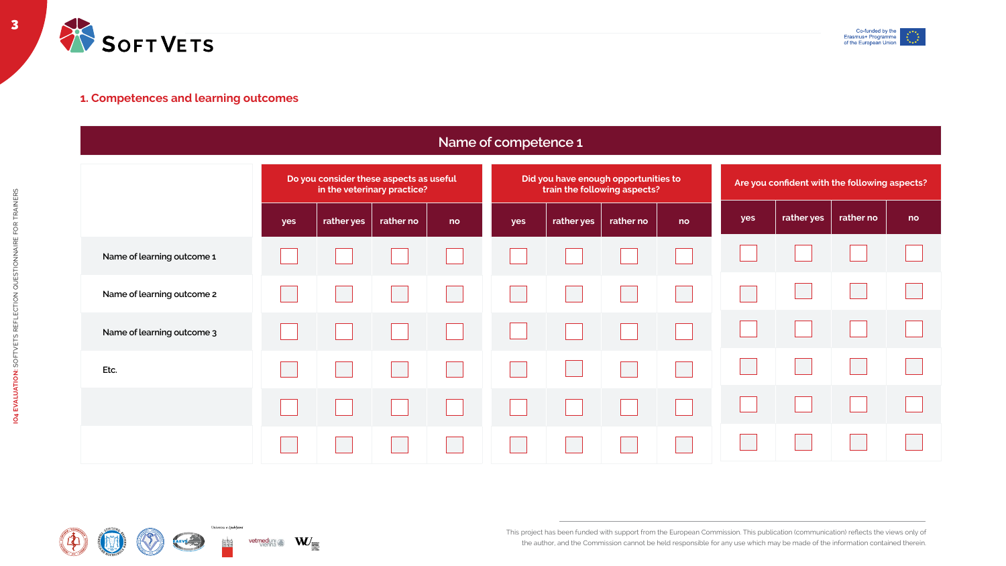3



|                            |                                                                        |            |           | <u>Nam</u> |  |  |  |
|----------------------------|------------------------------------------------------------------------|------------|-----------|------------|--|--|--|
|                            | Do you consider these aspects as useful<br>in the veterinary practice? |            |           |            |  |  |  |
|                            | yes                                                                    | rather yes | rather no | no         |  |  |  |
| Name of learning outcome 1 |                                                                        |            |           |            |  |  |  |
| Name of learning outcome 2 |                                                                        |            |           |            |  |  |  |
| Name of learning outcome 3 |                                                                        |            |           |            |  |  |  |
| Etc.                       |                                                                        |            |           |            |  |  |  |
|                            |                                                                        |            |           |            |  |  |  |
|                            |                                                                        |            |           |            |  |  |  |















### **Name of competence 1**



### **1. Competences and learning outcomes**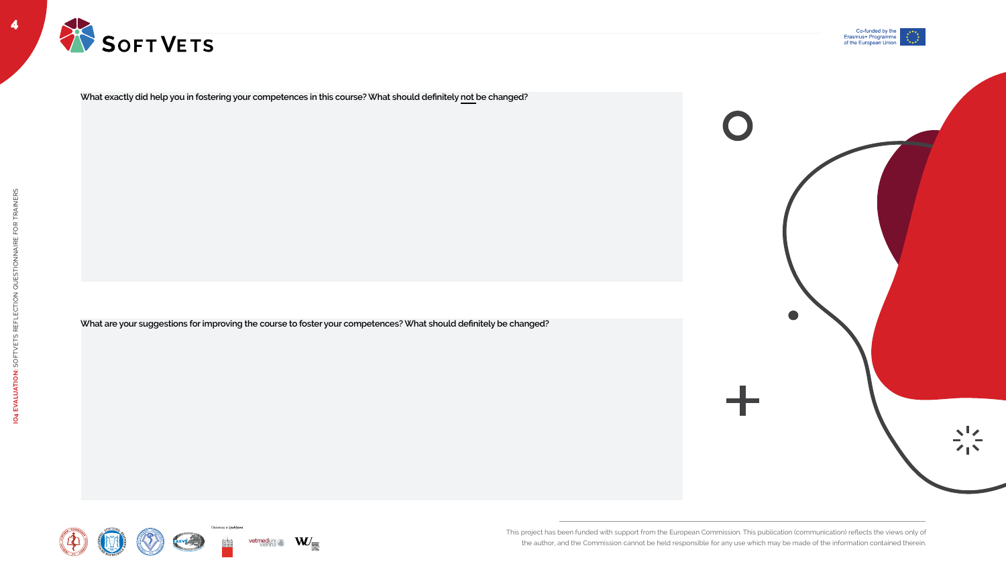

4





**What exactly did help you in fostering your competences in this course? What should definitely not be changed?**

**What are your suggestions for improving the course to foster your competences? What should definitely be changed?**











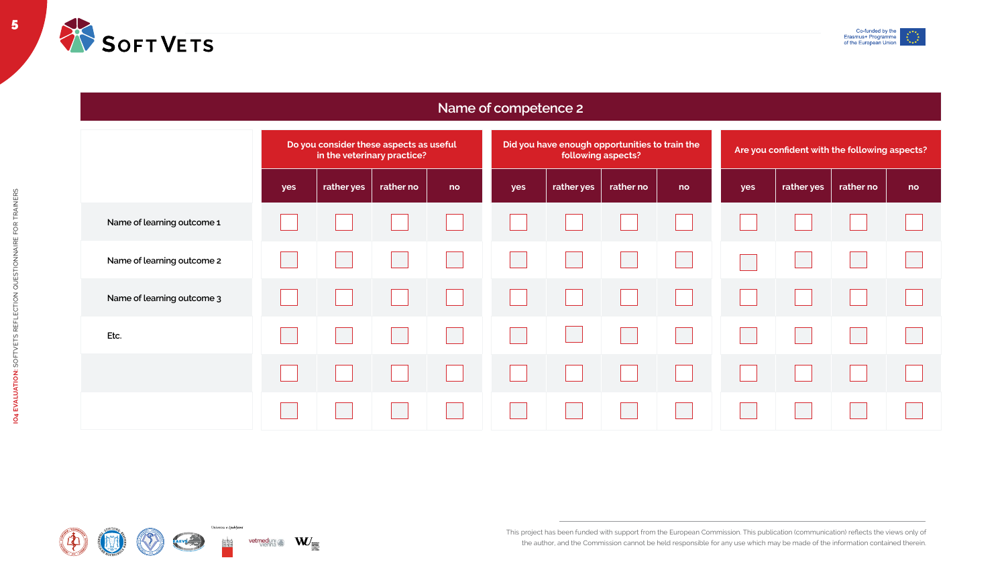

|                            | Do you consider these aspects as useful<br>in the veterinary practice? |            |           |    |  |  |  |
|----------------------------|------------------------------------------------------------------------|------------|-----------|----|--|--|--|
|                            | yes                                                                    | rather yes | rather no | no |  |  |  |
| Name of learning outcome 1 |                                                                        |            |           |    |  |  |  |
| Name of learning outcome 2 |                                                                        |            |           |    |  |  |  |
| Name of learning outcome 3 |                                                                        |            |           |    |  |  |  |
| Etc.                       |                                                                        |            |           |    |  |  |  |
|                            |                                                                        |            |           |    |  |  |  |
|                            |                                                                        |            |           |    |  |  |  |















| Did you have enough opportunities to train the<br>following aspects? |            |           | Are you confident with the following aspects? |     |            |           |    |
|----------------------------------------------------------------------|------------|-----------|-----------------------------------------------|-----|------------|-----------|----|
| yes                                                                  | rather yes | rather no | no                                            | yes | rather yes | rather no | no |
|                                                                      |            |           |                                               |     |            |           |    |
|                                                                      |            |           |                                               |     |            |           |    |
|                                                                      |            |           |                                               |     |            |           |    |
|                                                                      |            |           |                                               |     |            |           |    |
|                                                                      |            |           |                                               |     |            |           |    |
|                                                                      |            |           |                                               |     |            |           |    |



### **Name of competence 2**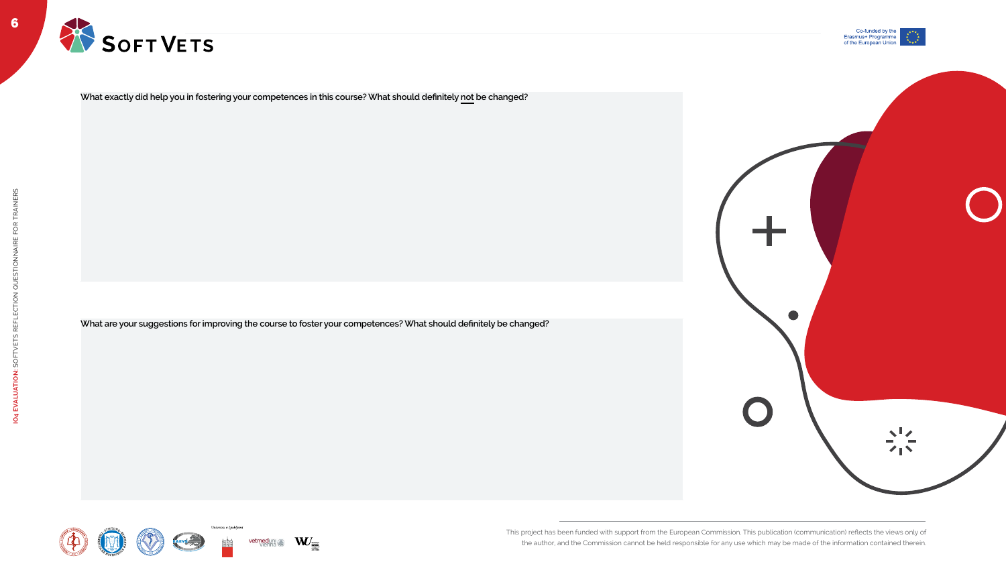6









**What exactly did help you in fostering your competences in this course? What should definitely not be changed?**

**What are your suggestions for improving the course to foster your competences? What should definitely be changed?**











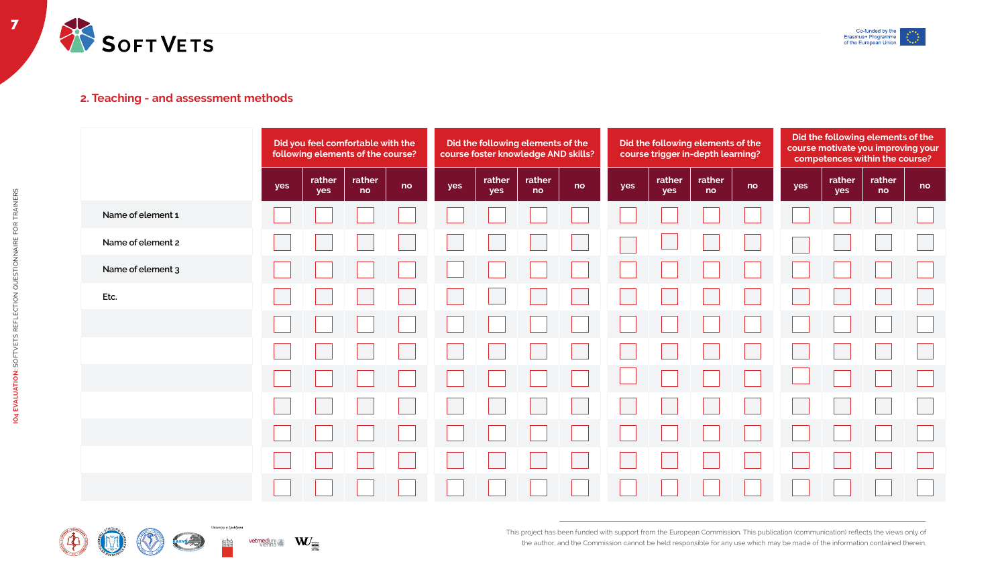















### **Did the following elements of the course foster knowledge AND skills? rather yes rather no no Did the following elements of the course trigger in-depth learning? yes rather yes rather no no Did the following elements of the course motivate you improving your competences within the course? yes rather yes rather no no**



### **2. Teaching - and assessment methods**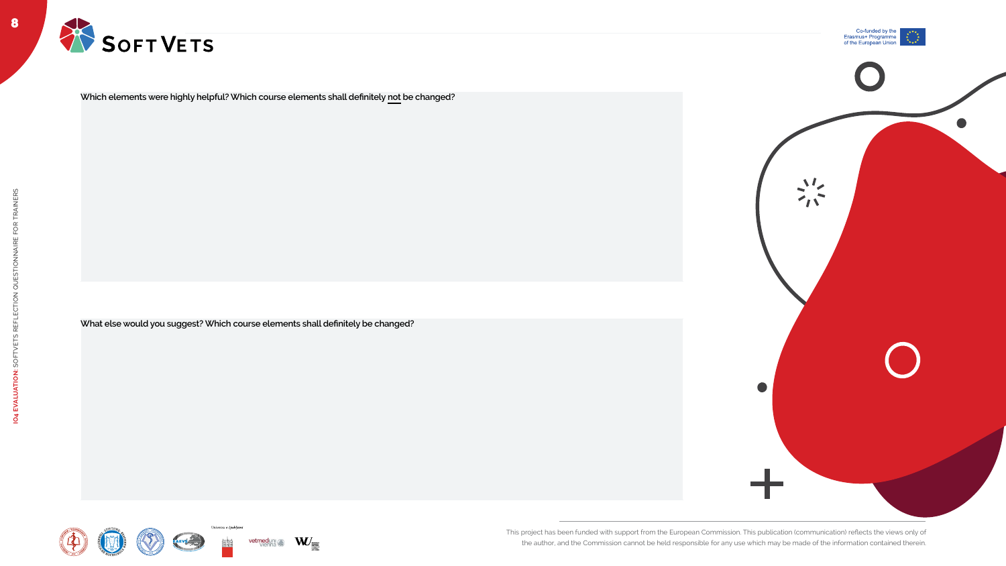8







**IO4 EVALUATION:** SOFTVETS REFLECTION QUESTIONNAIRE FOR TRAINERS



**Which elements were highly helpful? Which course elements shall definitely not be changed?**

**What else would you suggest? Which course elements shall definitely be changed?**













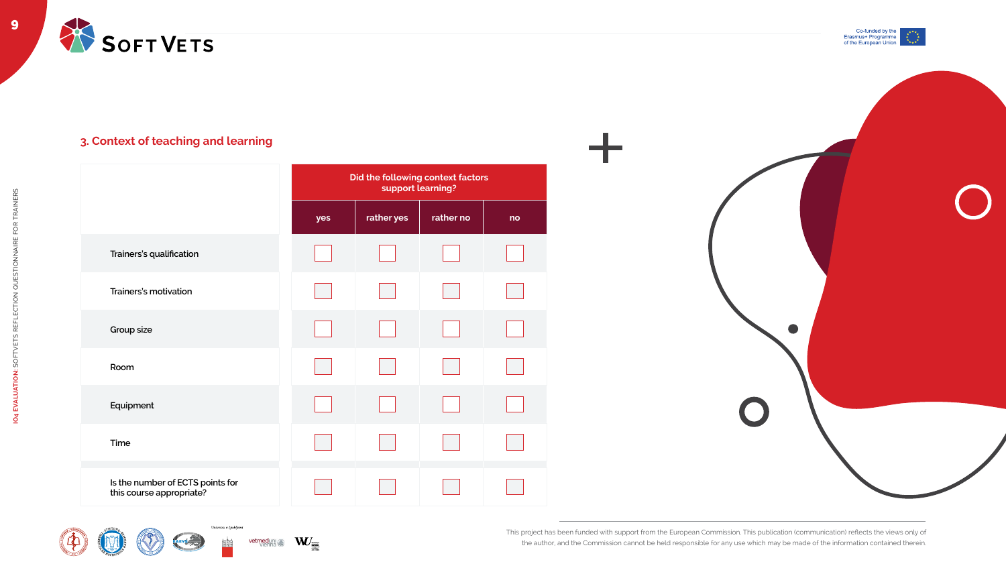



|                                                              |     | Did the following context factors<br>support learning? |           |    |  |  |
|--------------------------------------------------------------|-----|--------------------------------------------------------|-----------|----|--|--|
|                                                              | yes | rather yes                                             | rather no | no |  |  |
| <b>Trainers's qualification</b>                              |     |                                                        |           |    |  |  |
| <b>Trainers's motivation</b>                                 |     |                                                        |           |    |  |  |
| <b>Group size</b>                                            |     |                                                        |           |    |  |  |
| Room                                                         |     |                                                        |           |    |  |  |
| Equipment                                                    |     |                                                        |           |    |  |  |
| <b>Time</b>                                                  |     |                                                        |           |    |  |  |
| Is the number of ECTS points for<br>this course appropriate? |     |                                                        |           |    |  |  |







Univerza $\boldsymbol{v}$  Ljubljani



vetmeduni







### **3. Context of teaching and learning**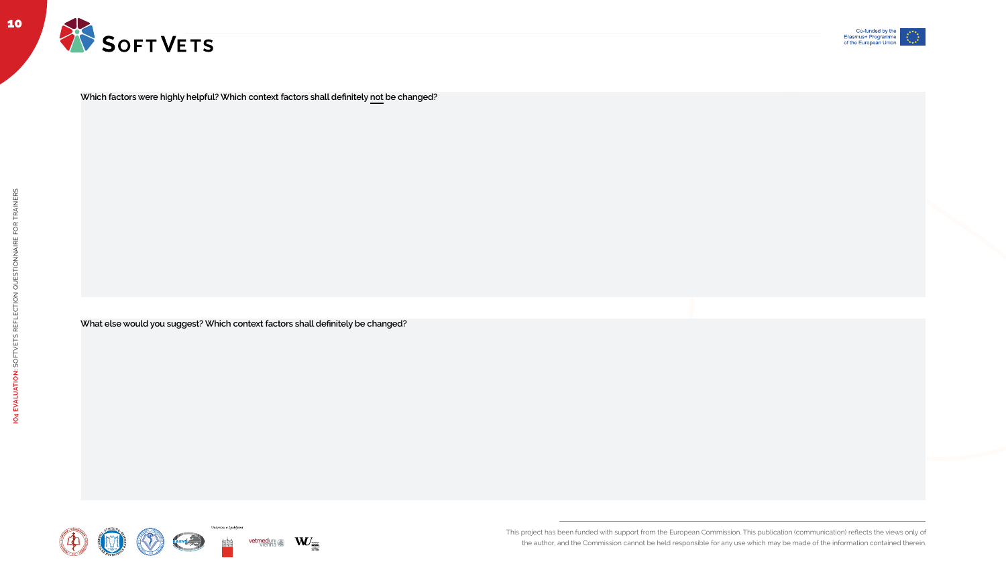This project has been funded with support from the European Commission. This publication (communication) reflects the views only of

the author, and the Commission cannot be held responsible for any use which may be made of the information contained therein.

10





**Which factors were highly helpful? Which context factors shall definitely not be changed?**

**What else would you suggest? Which context factors shall definitely be changed?**